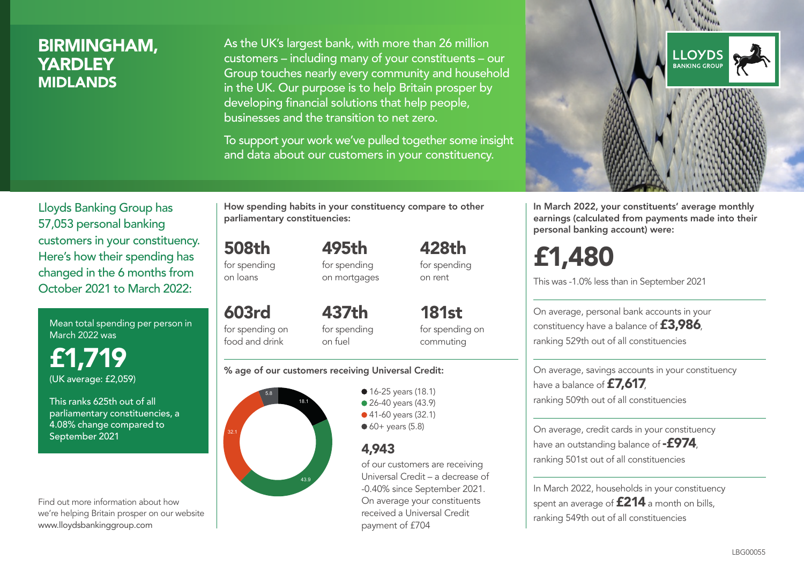# BIRMINGHAM, **YARDLEY** MIDLANDS

As the UK's largest bank, with more than 26 million customers – including many of your constituents – our Group touches nearly every community and household in the UK. Our purpose is to help Britain prosper by developing financial solutions that help people, businesses and the transition to net zero.

To support your work we've pulled together some insight and data about our customers in your constituency.



Mean total spending per person in March 2022 was

£1,719 (UK average: £2,059)

This ranks 625th out of all parliamentary constituencies, a 4.08% change compared to September 2021

Find out more information about how we're helping Britain prosper on our website www.lloydsbankinggroup.com

How spending habits in your constituency compare to other parliamentary constituencies:

508th for spending on loans

603rd

for spending on mortgages

495th

428th for spending on rent

for spending on food and drink 437th for spending on fuel

181st for spending on commuting

#### % age of our customers receiving Universal Credit:



• 16-25 years (18.1) • 26-40 years (43.9) ● 41-60 years (32.1)  $60+$  years (5.8)

## 4,943

of our customers are receiving Universal Credit – a decrease of -0.40% since September 2021. On average your constituents received a Universal Credit payment of £704



In March 2022, your constituents' average monthly earnings (calculated from payments made into their personal banking account) were:

# £1,480

This was -1.0% less than in September 2021

On average, personal bank accounts in your constituency have a balance of £3,986, ranking 529th out of all constituencies

On average, savings accounts in your constituency have a balance of £7,617, ranking 509th out of all constituencies

On average, credit cards in your constituency have an outstanding balance of **-£974**. ranking 501st out of all constituencies

In March 2022, households in your constituency spent an average of **£214** a month on bills, ranking 549th out of all constituencies